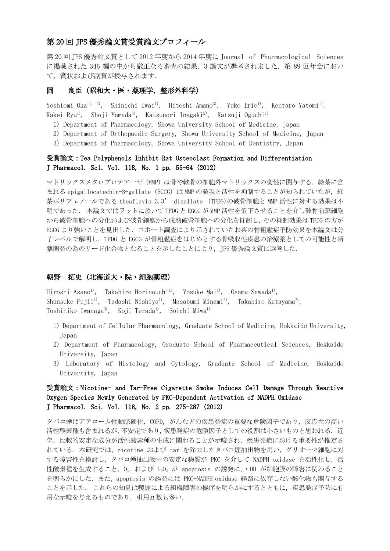## 第 20 回 JPS 優秀論文賞受賞論文プロフィール

第 20 回 JPS 優秀論文賞として 2012 年度から 2014 年度に Journal of Pharmacological Sciences に掲載された 346 編の中から厳正なる審査の結果, 3 論文が選考されました. 第 89 回年会におい て,賞状および副賞が授与されます.

### 岡 良臣(昭和大・医・薬理学,整形外科学)

Yoshiomi Oka<sup>1), 2)</sup>, Shinichi Iwai<sup>1)</sup>, Hitoshi Amano<sup>3)</sup>, Yuko Irie<sup>1)</sup>, Kentaro Yatomi<sup>1)</sup>, Kakei Ryu<sup>1)</sup>, Shoji Yamada<sup>3)</sup>, Katsunori Inagaki<sup>2)</sup>, Katsuji Oguchi<sup>1)</sup>

- 1) Department of Pharmacology, Showa University School of Medicine, Japan
- 2) Department of Orthopaedic Surgery, Showa University School of Medicine, Japan
- 3) Department of Pharmacology, Showa University School of Dentistry, Japan

### 受賞論文:Tea Polyphenols Inhibit Rat Osteoclast Formation and Differentiation J Pharmacol. Sci. Vol. 118, No. 1 pp. 55-64(2012)

マトリックスメタロプロテアーゼ(MMP)は骨や軟骨の細胞外マトリックスの変性に関与する. 緑茶に含 まれる epigallocatechin-3-gallate (EGCG) は MMP の発現と活性を抑制することが知られていたが, 紅 茶ポリフェノールである theaflavin-3,3'-digallate (TFDG)の破骨細胞と MMP 活性に対する効果は不 明であった. 本論文ではラットに於いて TFDG と EGCG が MMP 活性を低下させることを介し破骨前駆細胞 から破骨細胞への分化および破骨細胞から成熟破骨細胞への分化を抑制し,その抑制効果は TFDG の方が EGCG より強いことを見出した. コホート調査により示されていたお茶の骨粗鬆症予防効果を本論文は分 子レベルで解明し,TFDG と EGCG が骨粗鬆症をはじめとする骨吸収性疾患の治療薬としての可能性と新 薬開発の為のリード化合物となることを示したことにより、JPS 優秀論文賞に選考した.

#### 朝野 拓史(北海道大・院・細胞薬理) Ĵ

Hiroshi Asano<sup>1)</sup>, Takahiro Horinouchi<sup>1)</sup>, Yosuke Mai<sup>1)</sup>, Osamu Sawada<sup>1)</sup>, Shunsuke Fujii<sup>1</sup>, Tadashi Nishiya<sup>1</sup>, Masabumi Minami<sup>2</sup>, Takahiro Katayama<sup>2</sup>, Toshihiko Iwanaga<sup>3</sup>, Koji Terada<sup>1</sup>, Soichi Miwa<sup>1)</sup>

- 1) Department of Cellular Pharmacology, Graduate School of Medicine, Hokkaido University, Japan
- 2) Department of Pharmacology, Graduate School of Pharmaceutical Sciences, Hokkaido University, Japan
- 3) Laboratory of Histology and Cytology, Graduate School of Medicine, Hokkaido University, Japan

## 受賞論文:Nicotine- and Tar-Free Cigarette Smoke Induces Cell Damage Through Reactive Oxygen Species Newly Generated by PKC-Dependent Activation of NADPH Oxidase J Pharmacol. Sci. Vol. 118, No. 2 pp. 275-287 (2012)

タバコ煙はアテローム性動脈硬化,COPD,がんなどの疾患発症の重要な危険因子であり,反応性の高い 活性酸素種も含まれるが,不安定であり,疾患発症の危険因子としての役割は小さいものと思われる. 近 年,比較的安定な成分が活性酸素種の生成に関わることが示唆され,疾患発症における重要性が推定さ れている. 本研究では、nicotine および tar を除去したタバコ煙抽出物を用い、グリオーマ細胞に対 する障害性を検討し,タバコ煙抽出物中の安定な物質が PKC を介して NADPH oxidase を活性化し,活 性酸素種を生成すること,O2- および H2O<sup>2</sup> が apoptosis の誘発に,・OH が細胞膜の障害に関わること を明らかにした. また,apoptosis の誘発には PKC-NADPH oxidase 経路に依存しない酸化物も関与する ことを示した. これらの知見は喫煙による組織障害の機序を明らかにするとともに,疾患発症予防に有 用な示唆を与えるものであり,引用回数も多い.